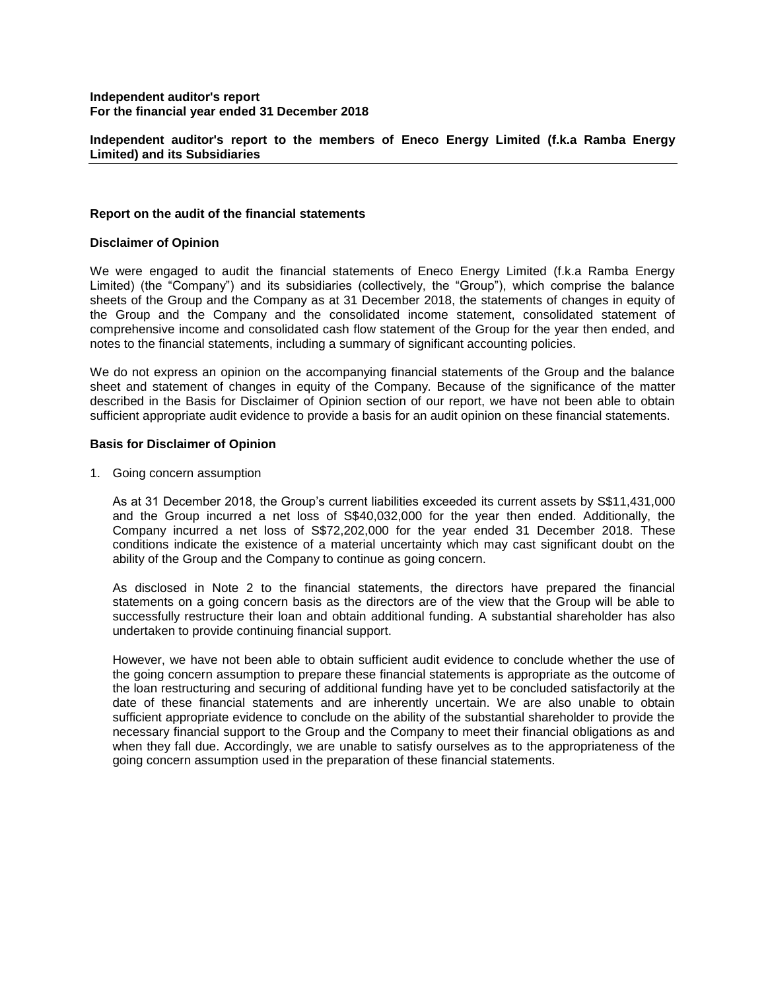**Independent auditor's report to the members of Eneco Energy Limited (f.k.a Ramba Energy Limited) and its Subsidiaries**

## **Report on the audit of the financial statements**

#### **Disclaimer of Opinion**

We were engaged to audit the financial statements of Eneco Energy Limited (f.k.a Ramba Energy Limited) (the "Company") and its subsidiaries (collectively, the "Group"), which comprise the balance sheets of the Group and the Company as at 31 December 2018, the statements of changes in equity of the Group and the Company and the consolidated income statement, consolidated statement of comprehensive income and consolidated cash flow statement of the Group for the year then ended, and notes to the financial statements, including a summary of significant accounting policies.

We do not express an opinion on the accompanying financial statements of the Group and the balance sheet and statement of changes in equity of the Company. Because of the significance of the matter described in the Basis for Disclaimer of Opinion section of our report, we have not been able to obtain sufficient appropriate audit evidence to provide a basis for an audit opinion on these financial statements.

#### **Basis for Disclaimer of Opinion**

1. Going concern assumption

As at 31 December 2018, the Group's current liabilities exceeded its current assets by S\$11,431,000 and the Group incurred a net loss of S\$40,032,000 for the year then ended. Additionally, the Company incurred a net loss of S\$72,202,000 for the year ended 31 December 2018. These conditions indicate the existence of a material uncertainty which may cast significant doubt on the ability of the Group and the Company to continue as going concern.

As disclosed in Note 2 to the financial statements, the directors have prepared the financial statements on a going concern basis as the directors are of the view that the Group will be able to successfully restructure their loan and obtain additional funding. A substantial shareholder has also undertaken to provide continuing financial support.

However, we have not been able to obtain sufficient audit evidence to conclude whether the use of the going concern assumption to prepare these financial statements is appropriate as the outcome of the loan restructuring and securing of additional funding have yet to be concluded satisfactorily at the date of these financial statements and are inherently uncertain. We are also unable to obtain sufficient appropriate evidence to conclude on the ability of the substantial shareholder to provide the necessary financial support to the Group and the Company to meet their financial obligations as and when they fall due. Accordingly, we are unable to satisfy ourselves as to the appropriateness of the going concern assumption used in the preparation of these financial statements.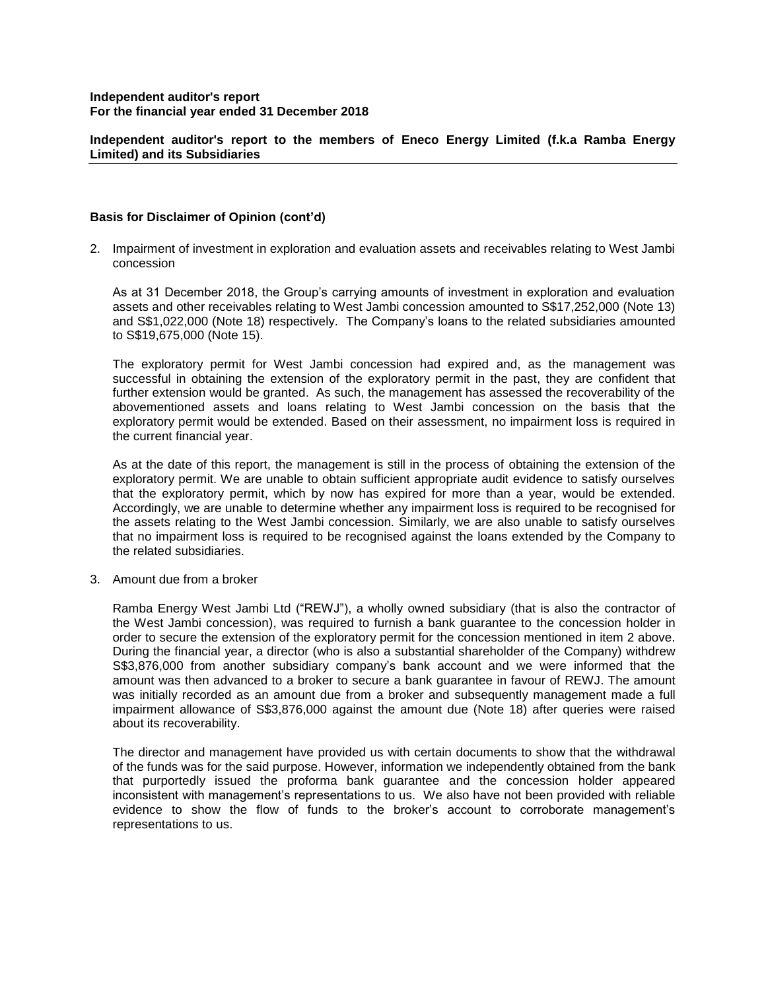**Independent auditor's report to the members of Eneco Energy Limited (f.k.a Ramba Energy Limited) and its Subsidiaries**

## **Basis for Disclaimer of Opinion (cont'd)**

2. Impairment of investment in exploration and evaluation assets and receivables relating to West Jambi concession

As at 31 December 2018, the Group's carrying amounts of investment in exploration and evaluation assets and other receivables relating to West Jambi concession amounted to S\$17,252,000 (Note 13) and S\$1,022,000 (Note 18) respectively. The Company's loans to the related subsidiaries amounted to S\$19,675,000 (Note 15).

The exploratory permit for West Jambi concession had expired and, as the management was successful in obtaining the extension of the exploratory permit in the past, they are confident that further extension would be granted. As such, the management has assessed the recoverability of the abovementioned assets and loans relating to West Jambi concession on the basis that the exploratory permit would be extended. Based on their assessment, no impairment loss is required in the current financial year.

As at the date of this report, the management is still in the process of obtaining the extension of the exploratory permit. We are unable to obtain sufficient appropriate audit evidence to satisfy ourselves that the exploratory permit, which by now has expired for more than a year, would be extended. Accordingly, we are unable to determine whether any impairment loss is required to be recognised for the assets relating to the West Jambi concession. Similarly, we are also unable to satisfy ourselves that no impairment loss is required to be recognised against the loans extended by the Company to the related subsidiaries.

3. Amount due from a broker

Ramba Energy West Jambi Ltd ("REWJ"), a wholly owned subsidiary (that is also the contractor of the West Jambi concession), was required to furnish a bank guarantee to the concession holder in order to secure the extension of the exploratory permit for the concession mentioned in item 2 above. During the financial year, a director (who is also a substantial shareholder of the Company) withdrew S\$3,876,000 from another subsidiary company's bank account and we were informed that the amount was then advanced to a broker to secure a bank guarantee in favour of REWJ. The amount was initially recorded as an amount due from a broker and subsequently management made a full impairment allowance of S\$3,876,000 against the amount due (Note 18) after queries were raised about its recoverability.

The director and management have provided us with certain documents to show that the withdrawal of the funds was for the said purpose. However, information we independently obtained from the bank that purportedly issued the proforma bank guarantee and the concession holder appeared inconsistent with management's representations to us. We also have not been provided with reliable evidence to show the flow of funds to the broker's account to corroborate management's representations to us.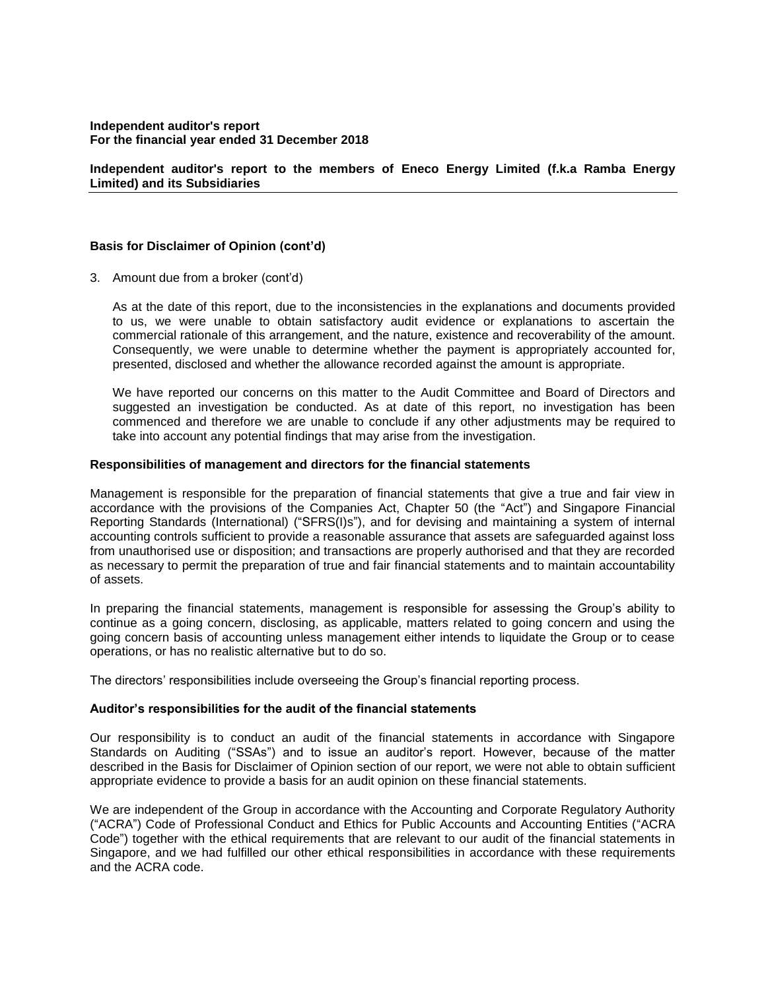## **Independent auditor's report to the members of Eneco Energy Limited (f.k.a Ramba Energy Limited) and its Subsidiaries**

### **Basis for Disclaimer of Opinion (cont'd)**

3. Amount due from a broker (cont'd)

As at the date of this report, due to the inconsistencies in the explanations and documents provided to us, we were unable to obtain satisfactory audit evidence or explanations to ascertain the commercial rationale of this arrangement, and the nature, existence and recoverability of the amount. Consequently, we were unable to determine whether the payment is appropriately accounted for, presented, disclosed and whether the allowance recorded against the amount is appropriate.

We have reported our concerns on this matter to the Audit Committee and Board of Directors and suggested an investigation be conducted. As at date of this report, no investigation has been commenced and therefore we are unable to conclude if any other adjustments may be required to take into account any potential findings that may arise from the investigation.

#### **Responsibilities of management and directors for the financial statements**

Management is responsible for the preparation of financial statements that give a true and fair view in accordance with the provisions of the Companies Act, Chapter 50 (the "Act") and Singapore Financial Reporting Standards (International) ("SFRS(I)s"), and for devising and maintaining a system of internal accounting controls sufficient to provide a reasonable assurance that assets are safeguarded against loss from unauthorised use or disposition; and transactions are properly authorised and that they are recorded as necessary to permit the preparation of true and fair financial statements and to maintain accountability of assets.

In preparing the financial statements, management is responsible for assessing the Group's ability to continue as a going concern, disclosing, as applicable, matters related to going concern and using the going concern basis of accounting unless management either intends to liquidate the Group or to cease operations, or has no realistic alternative but to do so.

The directors' responsibilities include overseeing the Group's financial reporting process.

#### **Auditor's responsibilities for the audit of the financial statements**

Our responsibility is to conduct an audit of the financial statements in accordance with Singapore Standards on Auditing ("SSAs") and to issue an auditor's report. However, because of the matter described in the Basis for Disclaimer of Opinion section of our report, we were not able to obtain sufficient appropriate evidence to provide a basis for an audit opinion on these financial statements.

We are independent of the Group in accordance with the Accounting and Corporate Regulatory Authority ("ACRA") Code of Professional Conduct and Ethics for Public Accounts and Accounting Entities ("ACRA Code") together with the ethical requirements that are relevant to our audit of the financial statements in Singapore, and we had fulfilled our other ethical responsibilities in accordance with these requirements and the ACRA code.